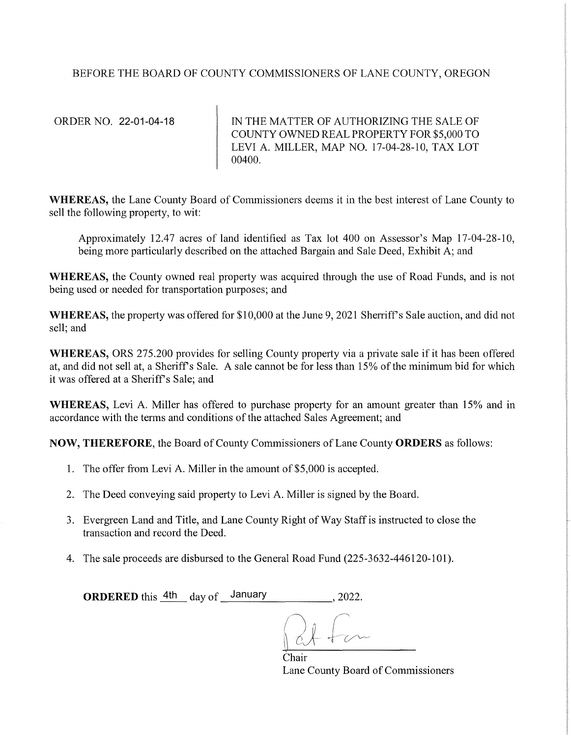## BEFORE THE BOARD OF COUNTY COMMISSIONERS OF LANE COUNTY, OREGON

ORDER NO. 22-01-04-18

IN THE MATTER OF AUTHORIZING THE SALE OF COUNTY OWNED REAL PROPERTY FOR \$5,000 TO LEVI A. MILLER, MAP NO. 17-04-28-10, TAX LOT 00400.

WHEREAS, the Lane County Board of Commissioners deems it in the best interest of Lane County to sell the following property, to wit:

Approximately 12.47 acres of land identified as Tax lot 400 on Assessor's Map 17-04-28-10, being more particularly described on the attached Bargain and Sale Deed, Exhibit A; and

**WHEREAS,** the County owned real property was acquired through the use of Road Funds, and is not being used or needed for transportation purposes; and

WHEREAS, the property was offered for \$10,000 at the June 9, 2021 Sherriff's Sale auction, and did not sell; and

**WHEREAS, ORS 275.200 provides for selling County property via a private sale if it has been offered** at, and did not sell at, a Sheriff's Sale. A sale cannot be for less than 15% of the minimum bid for which it was offered at a Sheriff's Sale; and

**WHEREAS,** Levi A. Miller has offered to purchase property for an amount greater than 15% and in accordance with the terms and conditions of the attached Sales Agreement; and

**NOW, THEREFORE,** the Board of County Commissioners of Lane County **ORDERS** as follows:

- 1. The offer from Levi A. Miller in the amount of \$5,000 is accepted.
- 2. The Deed conveying said property to Levi A. Miller is signed by the Board.
- 3. Evergreen Land and Title, and Lane County Right of Way Staff is instructed to close the transaction and record the Deed.
- 4. The sale proceeds are disbursed to the General Road Fund (225-3632-446120-101).

**ORDERED** this  $\frac{4\text{th}}{\text{day of}}$  January , 2022.

Chair Lane County Board of Commissioners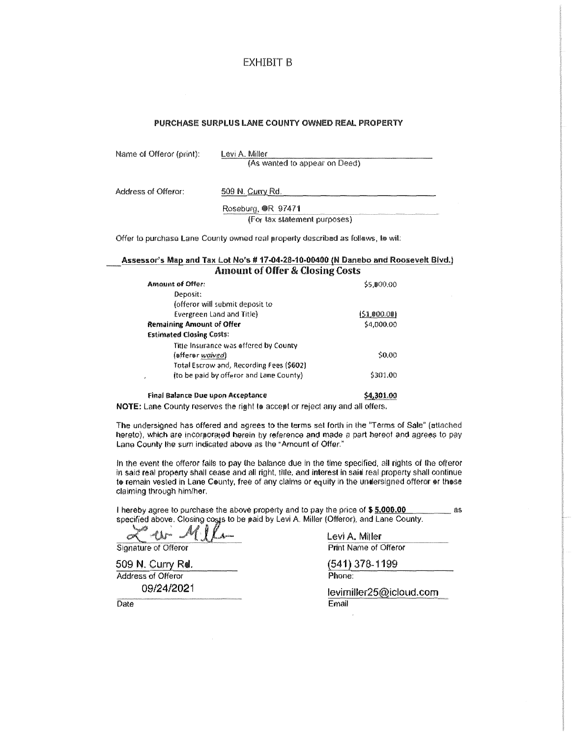#### EXHIBIT B

#### PURCHASE SURPLUS LANE COUNTY OWNED REAL PROPERTY

|  |  | Name of Offeror (print): |  |
|--|--|--------------------------|--|
|--|--|--------------------------|--|

Levi A. Miller (As wanted to appear on Deed)

Address of Offeror: 509 N. Curry Rd.

Roseburg, OR 97471

(For tax statement purposes)

Offer to purchase Lane County owned real property described as follews, to wil:

#### Assessor's Map and Tax Lot No's # 17-04-28-10-00400 (N Danebo and Roosevelt Blvd.) Amount of Offer & Closing Costs

| <b>Amount of Offer:</b>                      | 55.000.00   |
|----------------------------------------------|-------------|
| Deposit:                                     |             |
| (offeror will submit deposit to              |             |
| Evergreen Land and Title)                    | (51,000.00) |
| Remaining Amount of Offer                    | \$4,000.00  |
| <b>Estimated Closing Costs:</b>              |             |
| Title Insurance was offered by County        |             |
| (efferer waived)                             | \$0.00      |
| Total Escrow and, Recording Fees (\$602)     |             |
| (to be paid by offeror and Lane County)<br>, | \$301.00    |
|                                              |             |

Fin<il aal<inr;e Pue UJ)l;lfl A~~ept~l)r;e \$4,301.0Q

NOTE: Lane County reserves the right to accept or reject any and all offers.

The undersigned has offered and agrees to the terms set forth in the "Terms of Sale" (attached hereto), which are incorporated herein by reference and made a part hereof and agrees to pay Lane County the sum indicated above as the "Amount of Offer."

In the event the offeror fails to pay the balance due in the time specified, all rights of the offeror in said real property shall cease and all right, title, and interest in said real property shall continue to remain vested in Lane County, free of any claims or equity in the undersigned offeror or those claiming through himlher.

I hereby agree to purchase the above property and to pay the price of \$ 5,000.00 **and the price of \$** 5.000.00 **as** specified above. Closing costs to be paid by Levi A. Miller (Offeror), and Lane County.

 $M_{\text{max}}$  Levi A. Miller

509 N. Curry Rd. Address of Offeror 09/24/202i Print Name of Offeror

( 541 ) 3 78- 1199

Phone:

levimiller25@icloud.com Email

Date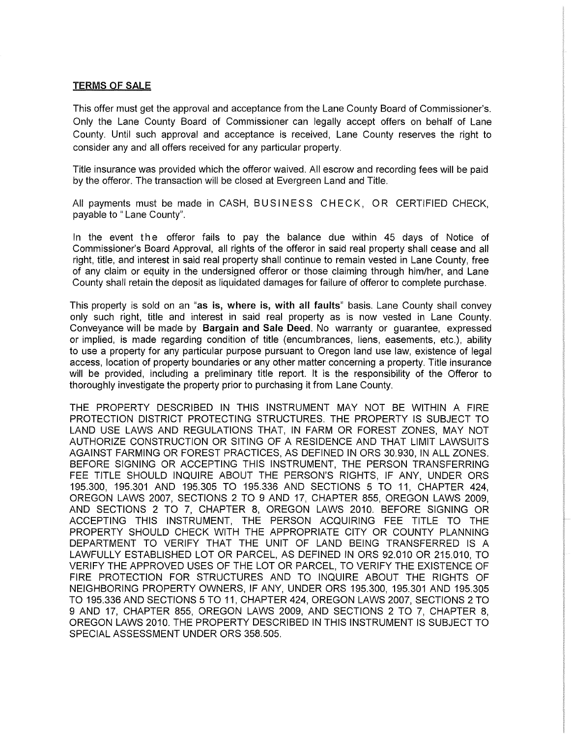#### TERMS OF SALE

This offer must get the approval and acceptance from the Lane County Board of Commissioner's. Only the Lane County Board of Commissioner can legally accept offers on behalf of Lane County. Until such approval and acceptance is received, Lane County reserves the right to consider any and all offers received for any particular property.

Title insurance was provided which the offerer waived. All escrow and recording fees will be paid by the offeror. The transaction will be closed at Evergreen Land and Title.

All payments must be made in CASH, BUSINESS CHECK, OR CERTIFIED CHECK. payable to " Lane County".

In the event the offerer fails to pay the balance due within 45 days of Notice of Commissioner's Board Approval, all rights of the offerer in said real property shall cease and all right, title, and interest in said real property shall continue to remain vested in Lane County, free of any claim or equity in the undersigned offerer or those claiming through him/her, and Lane County shall retain the deposit as liquidated damages for failure of offerer to complete purchase.

This property is sold on an "as is, where is, with all faults" basis. Lane County shall convey only such right, title and interest in said real property as is now vested in Lane County. Conveyance will be made by Bargain and Sale Deed. No warranty or guarantee, expressed or implied, is made regarding condition of title (encumbrances, liens, easements, etc.), ability to use a property for any particular purpose pursuant to Oregon land use law, existence of legal access, location of property boundaries or any other matter concerning a property. Title insurance will be provided, including a preliminary title report. It is the responsibility of the Offerer to thoroughly investigate the property prior to purchasing it from Lane County.

THE PROPERTY DESCRIBED IN THIS INSTRUMENT MAY NOT BE WITHIN A FIRE PROTECTION DISTRICT PROTECTING STRUCTURES. THE PROPERTY IS SUBJECT TO LAND USE LAWS AND REGULATIONS THAT, IN FARM OR FOREST ZONES, MAY NOT AUTHORIZE CONSTRUCTION OR SITING OF A RESIDENCE AND THAT LIMIT LAWSUITS AGAINST FARMING OR FOREST PRACTICES, AS DEFINED IN ORS 30.930, IN ALL ZONES. BEFORE SIGNING OR ACCEPTING THIS INSTRUMENT, THE PERSON TRANSFERRING FEE TITLE SHOULD INQUIRE ABOUT THE PERSON'S RIGHTS, IF ANY, UNDER ORS 195.300, 195.301 AND 195.305 TO 195.336 AND SECTIONS 5 TO 11, CHAPTER 424, OREGON LAWS 2007, SECTIONS 2 TO 9 AND 17, CHAPTER 855, OREGON LAWS 2009, AND SECTIONS 2 TO 7, CHAPTER 8, OREGON LAWS 2010. BEFORE SIGNING OR ACCEPTING THIS INSTRUMENT, THE PERSON ACQUIRING FEE TITLE TO THE PROPERTY SHOULD CHECK WITH THE APPROPRIATE CITY OR COUNTY PLANNING DEPARTMENT TO VERIFY THAT THE UNIT OF LAND BEING TRANSFERRED IS A LAWFULLY ESTABLISHED LOT OR PARCEL, AS DEFINED IN ORS 92.010 OR 215.010, TO VERIFY THE APPROVED USES OF THE LOT OR PARCEL, TO VERIFY THE EXISTENCE OF FIRE PROTECTION FOR STRUCTURES AND TO INQUIRE ABOUT THE RIGHTS OF NEIGHBORING PROPERTY OWNERS, IF ANY, UNDER ORS 195.300, 195.301 AND 195.305 TO 195.336 AND SECTIONS 5 TO 11, CHAPTER 424, OREGON LAWS 2007, SECTIONS 2 TO 9 AND 17, CHAPTER 855, OREGON LAWS 2009, AND SECTIONS 2 TO 7, CHAPTER 8, OREGON LAWS 2010. THE PROPERTY DESCRIBED IN THIS INSTRUMENT IS SUBJECT TO SPECIAL ASSESSMENT UNDER ORS 358.505.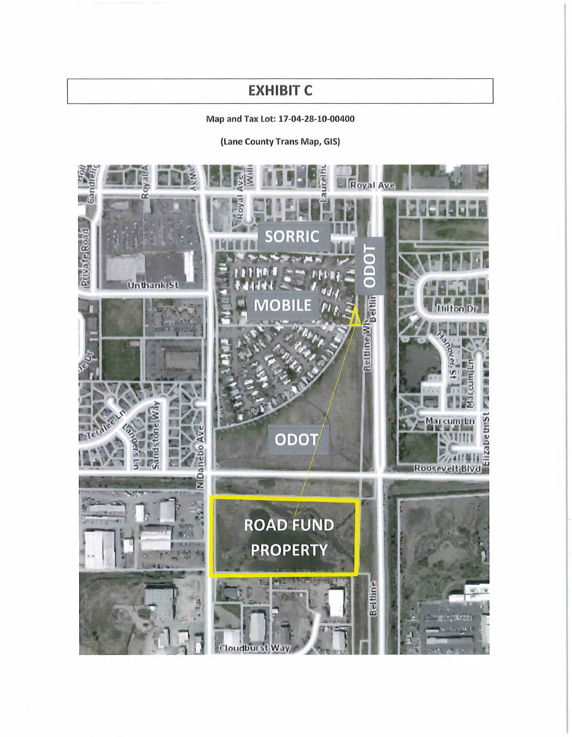# **EXHIBIT C**

# Map and Tax Lot: 17-04-28-10-00400

(Lane County Trans Map, GIS)

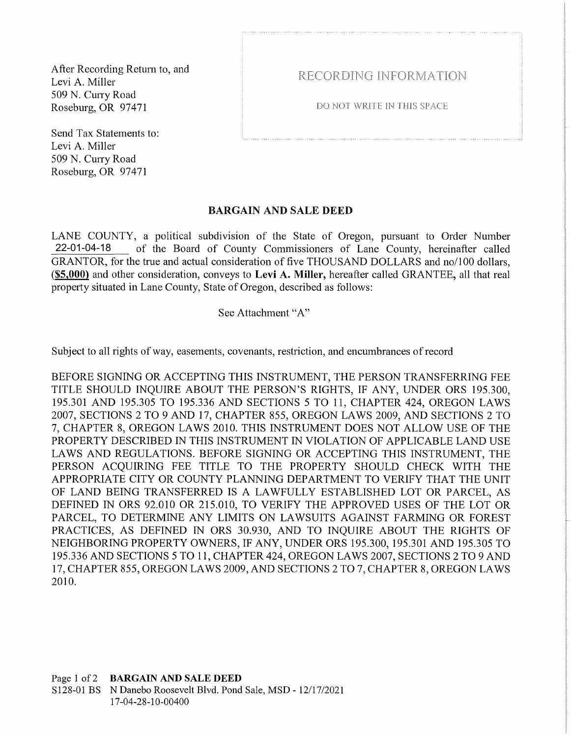After Recording Return to, and Levi A. Miller 509 N. Curry Road Roseburg, OR 97471

Send Tax Statements to: Levi A. Miller 509 N. Curry Road Roseburg, OR 97471

RECORDING INFORMATION

DO NOT WRITE IN THIS SPACE

## BARGAIN AND SALE DEED

LANE COUNTY, a political subdivision of the State of Oregon, pursuant to Order Number of the Board of County Commissioners of Lane County, hereinafter called GRANTOR, for the true and actual consideration of five THOUSAND DOLLARS and no/100 dollars, **(\$5,000)** and other consideration, conveys to **Levi A. Miller,** hereafter called GRANTEE, all that real property situated in Lane County, State of Oregon, described as follows: 22-01-04-18

### See Attachment "A"

Subject to all rights of way, easements, covenants, restriction, and encumbrances ofrecord

BEFORE SIGNING OR ACCEPTING THIS INSTRUMENT, THE PERSON TRANSFERRING FEE TITLE SHOULD INQUIRE ABOUT THE PERSON'S RIGHTS, IF ANY, UNDER ORS 195.300, 195.301 AND 195.305 TO 195.336 AND SECTIONS 5 TO 11, CHAPTER 424, OREGON LAWS 2007, SECTIONS 2 TO 9 AND 17, CHAPTER 855, OREGON LAWS 2009, AND SECTIONS 2 TO 7, CHAPTER 8, OREGON LAWS 2010. THIS INSTRUMENT DOES NOT ALLOW USE OF THE PROPERTY DESCRIBED IN THIS INSTRUMENT IN VIOLATION OF APPLICABLE LAND USE LAWS AND REGULATIONS. BEFORE SIGNING OR ACCEPTING THIS INSTRUMENT, THE PERSON ACQUIRING FEE TITLE TO THE PROPERTY SHOULD CHECK WITH THE APPROPRIATE CITY OR COUNTY PLANNING DEPARTMENT TO VERIFY THAT THE UNIT OF LAND BEING TRANSFERRED IS A LAWFULLY ESTABLISHED LOT OR PARCEL, AS DEFINED IN ORS 92.010 OR 215.010, TO VERIFY THE APPROVED USES OF THE LOT OR PARCEL, TO DETERMINE ANY LIMITS ON LAWSUITS AGAINST FARMING OR FOREST PRACTICES, AS DEFINED IN ORS 30.930, AND TO INQUIRE ABOUT THE RIGHTS OF NEIGHBORING PROPERTY OWNERS, IF ANY, UNDER ORS 195.300, 195.301AND195.305 TO 195.336 AND SECTIONS 5 TO 11, CHAPTER 424, OREGON LAWS 2007, SECTIONS 2 TO 9 AND 17, CHAPTER 855, OREGON LAWS 2009, AND SECTIONS 2 TO 7, CHAPTER 8, OREGON LAWS 2010.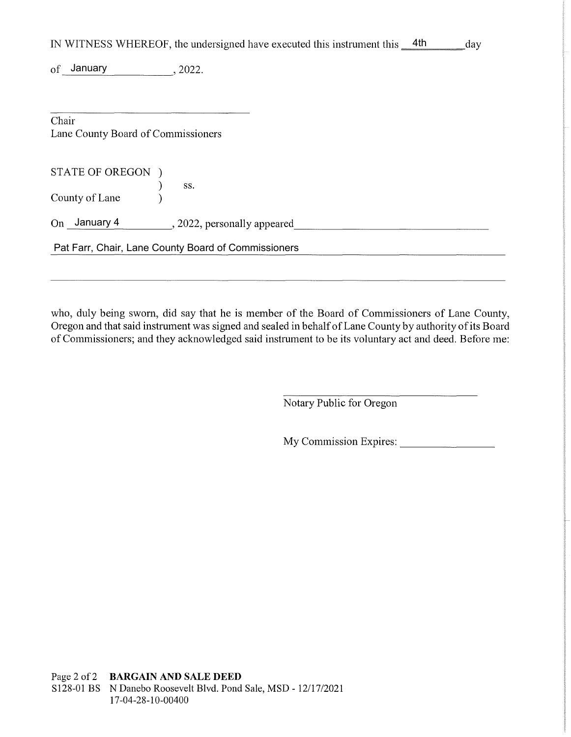|                                    | IN WITNESS WHEREOF, the undersigned have executed this instrument this 4th<br>day |
|------------------------------------|-----------------------------------------------------------------------------------|
| of January                         | , 2022.                                                                           |
|                                    |                                                                                   |
| Chair                              |                                                                                   |
| Lane County Board of Commissioners |                                                                                   |
|                                    |                                                                                   |
| STATE OF OREGON )                  |                                                                                   |
|                                    | SS.                                                                               |
| County of Lane                     |                                                                                   |
| On January 4                       | , 2022, personally appeared                                                       |
|                                    | Pat Farr, Chair, Lane County Board of Commissioners                               |
|                                    |                                                                                   |

who, duly being sworn, did say that he is member of the Board of Commissioners of Lane County, Oregon and that said instrument was signed and sealed in behalf of Lane County by authority of its Board of Commissioners; and they acknowledged said instrument to be its voluntary act and deed. Before me:

Notary Public for Oregon

My Commission Expires: \_\_\_\_\_\_\_ \_